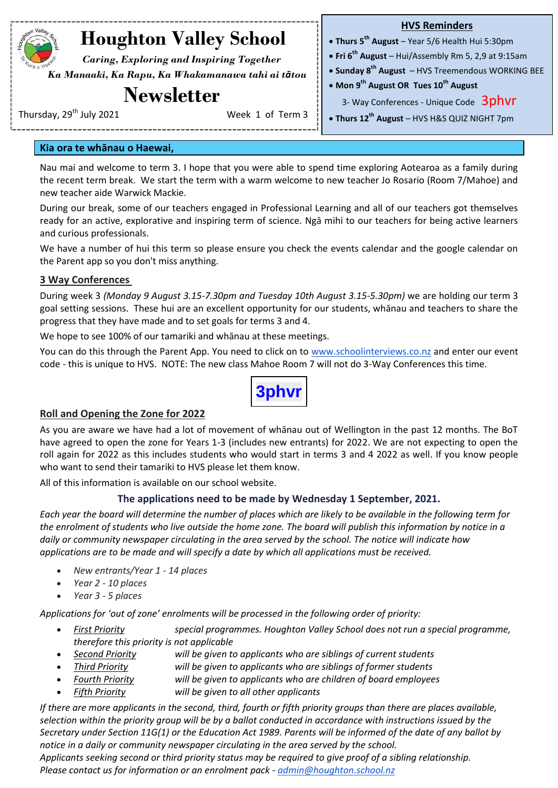## **Houghton Valley School**

 *Caring, Exploring and Inspiring Together Ka Manaaki, Ka Rapu, Ka Whakamanawa tahi ai tātou*

### **Newsletter**

#### **HVS Reminders**

- **Thurs 5 th August**  Year 5/6 Health Hui 5:30pm
- **Fri 6 th August**  Hui/Assembly Rm 5, 2,9 at 9:15am
- **Sunday 8 th August**  HVS Treemendous WORKING BEE
- **Mon 9th August OR Tues 10th August**

3- Way Conferences - Unique Code 3phvr

**Thurs 12th August** – HVS H&S QUIZ NIGHT 7pm

Thursday,  $29^{th}$  July 2021 Week 1 of Term 3

#### **Kia ora te whānau o Haewai,**

Nau mai and welcome to term 3. I hope that you were able to spend time exploring Aotearoa as a family during the recent term break. We start the term with a warm welcome to new teacher Jo Rosario (Room 7/Mahoe) and new teacher aide Warwick Mackie.

During our break, some of our teachers engaged in Professional Learning and all of our teachers got themselves ready for an active, explorative and inspiring term of science. Ngā mihi to our teachers for being active learners and curious professionals.

We have a number of hui this term so please ensure you check the events calendar and the google calendar on the Parent app so you don't miss anything.

#### **3 Way Conferences**

During week 3 *(Monday 9 August 3.15-7.30pm and Tuesday 10th August 3.15-5.30pm)* we are holding our term 3 goal setting sessions. These hui are an excellent opportunity for our students, whānau and teachers to share the progress that they have made and to set goals for terms 3 and 4.

We hope to see 100% of our tamariki and whānau at these meetings.

You can do this through the Parent App. You need to click on to [www.schoolinterviews.co.nz](http://www.schoolinterviews.co.nz/) and enter our event code - this is unique to HVS. NOTE: The new class Mahoe Room 7 will not do 3-Way Conferences this time.



#### **Roll and Opening the Zone for 2022**

As you are aware we have had a lot of movement of whānau out of Wellington in the past 12 months. The BoT have agreed to open the zone for Years 1-3 (includes new entrants) for 2022. We are not expecting to open the roll again for 2022 as this includes students who would start in terms 3 and 4 2022 as well. If you know people who want to send their tamariki to HVS please let them know.

All of this information is available on our school website.

#### **The applications need to be made by Wednesday 1 September, 2021.**

*Each year the board will determine the number of places which are likely to be available in the following term for the enrolment of students who live outside the home zone. The board will publish this information by notice in a daily or community newspaper circulating in the area served by the school. The notice will indicate how applications are to be made and will specify a date by which all applications must be received.*

- *New entrants/Year 1 - 14 places*
- *Year 2 - 10 places*
- *Year 3 - 5 places*

*Applications for 'out of zone' enrolments will be processed in the following order of priority:*

- *First Priority special programmes. Houghton Valley School does not run a special programme, therefore this priority is not applicable*
- *Second Priority will be given to applicants who are siblings of current students*
- *Third Priority will be given to applicants who are siblings of former students*
- *Fourth Priority will be given to applicants who are children of board employees*
- *Fifth Priority will be given to all other applicants*

*If there are more applicants in the second, third, fourth or fifth priority groups than there are places available, selection within the priority group will be by a ballot conducted in accordance with instructions issued by the Secretary under Section 11G(1) or the Education Act 1989. Parents will be informed of the date of any ballot by notice in a daily or community newspaper circulating in the area served by the school.*

*Applicants seeking second or third priority status may be required to give proof of a sibling relationship. Please contact us for information or an enrolment pack - [admin@houghton.school.nz](mailto:admin@houghton.school.nz)*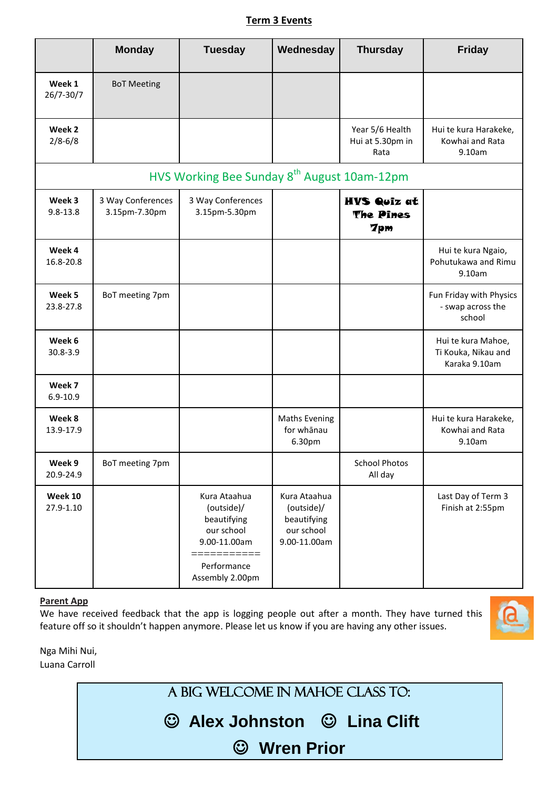#### **Term 3 Events**

|                                                         | <b>Monday</b>                      | <b>Tuesday</b>                                                                                                           | Wednesday                                                               | <b>Thursday</b>                               | <b>Friday</b>                                              |  |
|---------------------------------------------------------|------------------------------------|--------------------------------------------------------------------------------------------------------------------------|-------------------------------------------------------------------------|-----------------------------------------------|------------------------------------------------------------|--|
| Week 1<br>26/7-30/7                                     | <b>BoT Meeting</b>                 |                                                                                                                          |                                                                         |                                               |                                                            |  |
| Week 2<br>$2/8 - 6/8$                                   |                                    |                                                                                                                          |                                                                         | Year 5/6 Health<br>Hui at 5.30pm in<br>Rata   | Hui te kura Harakeke,<br>Kowhai and Rata<br>9.10am         |  |
| HVS Working Bee Sunday 8 <sup>th</sup> August 10am-12pm |                                    |                                                                                                                          |                                                                         |                                               |                                                            |  |
| Week 3<br>$9.8 - 13.8$                                  | 3 Way Conferences<br>3.15pm-7.30pm | 3 Way Conferences<br>3.15pm-5.30pm                                                                                       |                                                                         | <b>HVS Quiz at</b><br>The Pines<br><b>7pm</b> |                                                            |  |
| Week 4<br>16.8-20.8                                     |                                    |                                                                                                                          |                                                                         |                                               | Hui te kura Ngaio,<br>Pohutukawa and Rimu<br>9.10am        |  |
| Week 5<br>23.8-27.8                                     | BoT meeting 7pm                    |                                                                                                                          |                                                                         |                                               | Fun Friday with Physics<br>- swap across the<br>school     |  |
| Week 6<br>$30.8 - 3.9$                                  |                                    |                                                                                                                          |                                                                         |                                               | Hui te kura Mahoe,<br>Ti Kouka, Nikau and<br>Karaka 9.10am |  |
| Week 7<br>$6.9 - 10.9$                                  |                                    |                                                                                                                          |                                                                         |                                               |                                                            |  |
| Week 8<br>13.9-17.9                                     |                                    |                                                                                                                          | <b>Maths Evening</b><br>for whānau<br>6.30pm                            |                                               | Hui te kura Harakeke,<br>Kowhai and Rata<br>9.10am         |  |
| Week 9<br>20.9-24.9                                     | BoT meeting 7pm                    |                                                                                                                          |                                                                         | <b>School Photos</b><br>All day               |                                                            |  |
| Week 10<br>27.9-1.10                                    |                                    | Kura Ataahua<br>(outside)/<br>beautifying<br>our school<br>9.00-11.00am<br>===========<br>Performance<br>Assembly 2.00pm | Kura Ataahua<br>(outside)/<br>beautifying<br>our school<br>9.00-11.00am |                                               | Last Day of Term 3<br>Finish at 2:55pm                     |  |

#### **Parent App**

We have received feedback that the app is logging people out after a month. They have turned this feature off so it shouldn't happen anymore. Please let us know if you are having any other issues.



Nga Mihi Nui, Luana Carroll

A big welcome in mahoe class to:

**Alex Johnston Lina Clift**

**Wren Prior**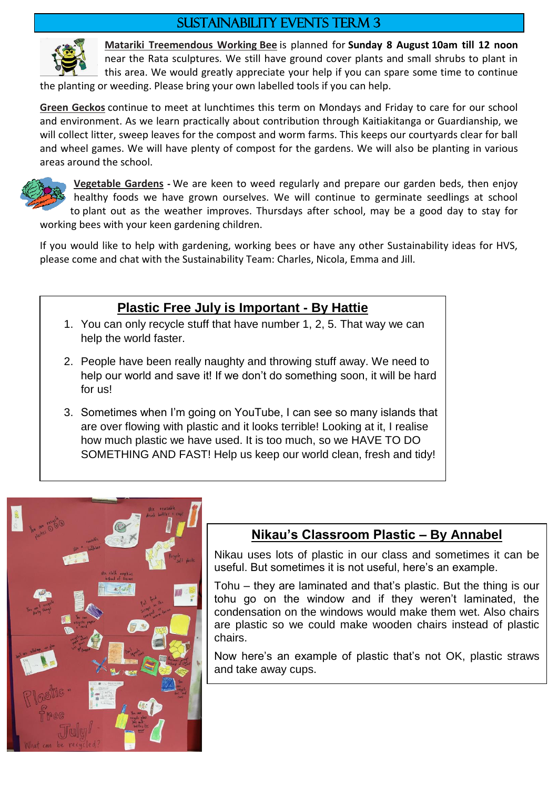### Sustainability events Term 3



**Matariki Treemendous Working Bee** is planned for **Sunday 8 August 10am till 12 noon** near the Rata sculptures. We still have ground cover plants and small shrubs to plant in this area. We would greatly appreciate your help if you can spare some time to continue

the planting or weeding. Please bring your own labelled tools if you can help.

**Green Geckos** continue to meet at lunchtimes this term on Mondays and Friday to care for our school and environment. As we learn practically about contribution through Kaitiakitanga or Guardianship, we will collect litter, sweep leaves for the compost and worm farms. This keeps our courtyards clear for ball and wheel games. We will have plenty of compost for the gardens. We will also be planting in various areas around the school.



**Vegetable Gardens -** We are keen to weed regularly and prepare our garden beds, then enjoy healthy foods we have grown ourselves. We will continue to germinate seedlings at school to plant out as the weather improves. Thursdays after school, may be a good day to stay for working bees with your keen gardening children.

If you would like to help with gardening, working bees or have any other Sustainability ideas for HVS, please come and chat with the Sustainability Team: Charles, Nicola, Emma and Jill.

### **Plastic Free July is Important - By Hattie**

- 1. You can only recycle stuff that have number 1, 2, 5. That way we can help the world faster.
- 2. People have been really naughty and throwing stuff away. We need to help our world and save it! If we don't do something soon, it will be hard for us!
- 3. Sometimes when I'm going on YouTube, I can see so many islands that are over flowing with plastic and it looks terrible! Looking at it, I realise how much plastic we have used. It is too much, so we HAVE TO DO SOMETHING AND FAST! Help us keep our world clean, fresh and tidy!



### **Nikau's Classroom Plastic – By Annabel**

Nikau uses lots of plastic in our class and sometimes it can be useful. But sometimes it is not useful, here's an example.

Tohu – they are laminated and that's plastic. But the thing is our tohu go on the window and if they weren't laminated, the condensation on the windows would make them wet. Also chairs are plastic so we could make wooden chairs instead of plastic chairs.

Now here's an example of plastic that's not OK, plastic straws and take away cups.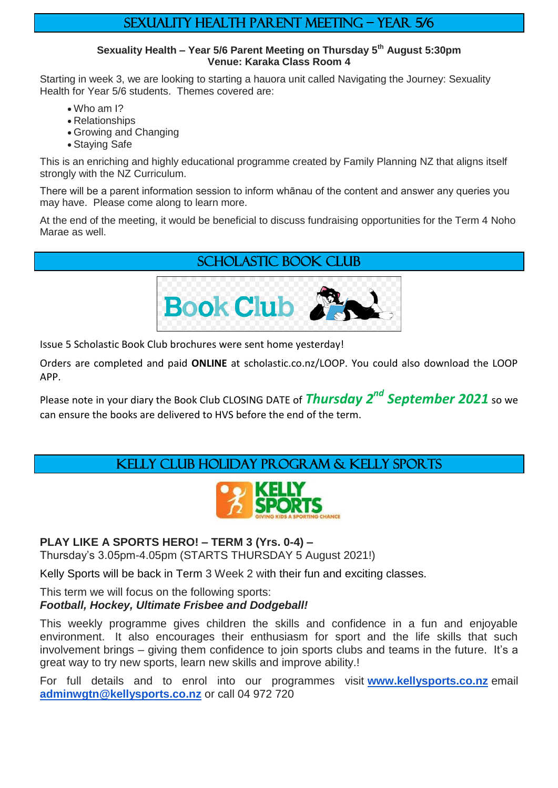### Sexuality health parent meeting – Year 5/6

#### **Sexuality Health – Year 5/6 Parent Meeting on Thursday 5th August 5:30pm Venue: Karaka Class Room 4**

Starting in week 3, we are looking to starting a hauora unit called Navigating the Journey: Sexuality Health for Year 5/6 students. Themes covered are:

- Who am I?
- Relationships
- Growing and Changing
- Staying Safe

This is an enriching and highly educational programme created by Family Planning NZ that aligns itself strongly with the NZ Curriculum.

There will be a parent information session to inform whānau of the content and answer any queries you may have. Please come along to learn more.

At the end of the meeting, it would be beneficial to discuss fundraising opportunities for the Term 4 Noho Marae as well.

### Scholastic book club



Issue 5 Scholastic Book Club brochures were sent home yesterday!

Orders are completed and paid **ONLINE** at scholastic.co.nz/LOOP. You could also download the LOOP APP.

Please note in your diary the Book Club CLOSING DATE of *Thursday 2 nd September 2021* so we can ensure the books are delivered to HVS before the end of the term.

### Kelly club holiday program & kelly sports



### **PLAY LIKE A SPORTS HERO! – TERM 3 (Yrs. 0-4) –**

Thursday's 3.05pm-4.05pm (STARTS THURSDAY 5 August 2021!)

Kelly Sports will be back in Term 3 Week 2 with their fun and exciting classes.

This term we will focus on the following sports: *Football, Hockey, Ultimate Frisbee and Dodgeball!*

This weekly programme gives children the skills and confidence in a fun and enjoyable environment. It also encourages their enthusiasm for sport and the life skills that such involvement brings – giving them confidence to join sports clubs and teams in the future. It's a great way to try new sports, learn new skills and improve ability.!

For full details and to enrol into our programmes visit **[www.kellysports.co.nz](http://www.kellysports.co.nz/)** email **[adminwgtn@kellysports.co.nz](mailto:adminwgtn@kellysports.co.nz)** or call 04 972 720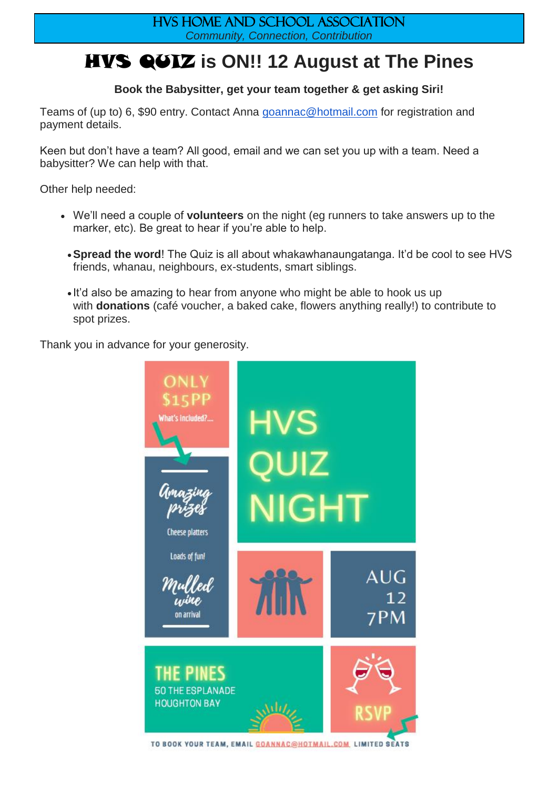### HVS Home and school association *Community, Connection, Contribution*

# HVS QUIZ **is ON!! 12 August at The Pines**

### **Book the Babysitter, get your team together & get asking Siri!**

Teams of (up to) 6, \$90 entry. Contact Anna [goannac@hotmail.com](mailto:goannac@hotmail.com) for registration and payment details.

Keen but don't have a team? All good, email and we can set you up with a team. Need a babysitter? We can help with that.

Other help needed:

- We'll need a couple of **volunteers** on the night (eg runners to take answers up to the marker, etc). Be great to hear if you're able to help.
	- **Spread the word!** The Quiz is all about whakawhanaungatanga. It'd be cool to see HVS friends, whanau, neighbours, ex-students, smart siblings.
	- It'd also be amazing to hear from anyone who might be able to hook us up with **donations** (café voucher, a baked cake, flowers anything really!) to contribute to spot prizes.

Thank you in advance for your generosity.



TO BOOK YOUR TEAM, EMAIL GOANNAC@HOTMAIL.COM, LIMITED SEATS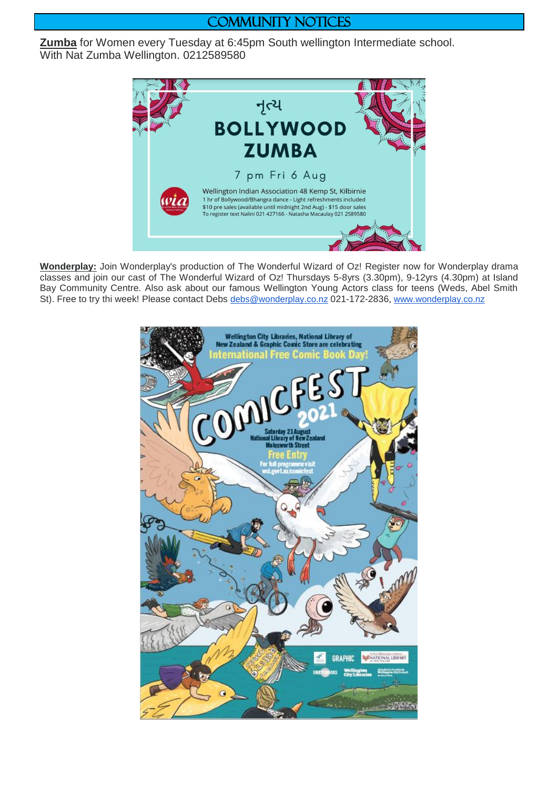### COMMUNITY NOTICES

**Zumba** for Women every Tuesday at 6:45pm South wellington Intermediate school. With Nat Zumba Wellington. 0212589580



**Wonderplay:** Join Wonderplay's production of The Wonderful Wizard of Oz! Register now for Wonderplay drama classes and join our cast of The Wonderful Wizard of Oz! Thursdays 5-8yrs (3.30pm), 9-12yrs (4.30pm) at Island Bay Community Centre. Also ask about our famous Wellington Young Actors class for teens (Weds, Abel Smith St). Free to try thi week! Please contact Debs [debs@wonderplay.co.nz](mailto:debs@wonderplay.co.nz) 021-172-2836, [www.wonderplay.co.nz](http://www.wonderplay.co.nz/)